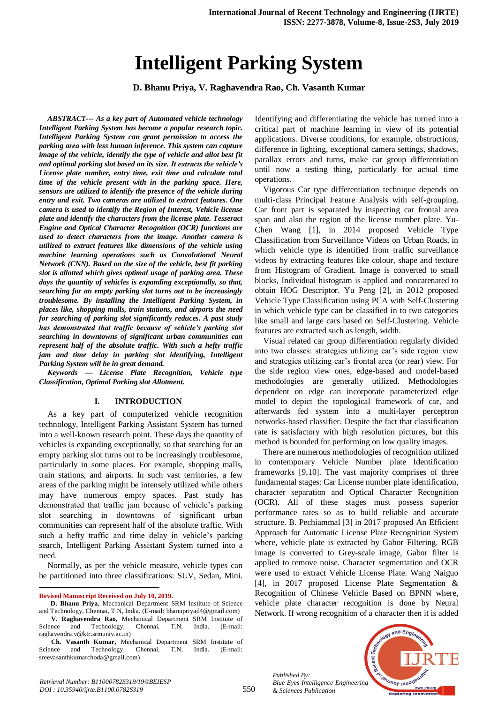# **Intelligent Parking System**

**D. Bhanu Priya, V. Raghavendra Rao, Ch. Vasanth Kumar** 

*ABSTRACT--- As a key part of Automated vehicle technology Intelligent Parking System has become a popular research topic. Intelligent Parking System can grant permission to access the parking area with less human inference. This system can capture image of the vehicle, identify the type of vehicle and allot best fit and optimal parking slot based on its size. It extracts the vehicle's License plate number, entry time, exit time and calculate total time of the vehicle present with in the parking space. Here, sensors are utilized to identify the presence of the vehicle during entry and exit. Two cameras are utilized to extract features. One camera is used to identify the Region of Interest, Vehicle license plate and identify the characters from the license plate. Tesseract Engine and Optical Character Recognition (OCR) functions are used to detect characters from the image. Another camera is utilized to extract features like dimensions of the vehicle using machine learning operations such as Convolutional Neural Network (CNN). Based on the size of the vehicle, best fit parking slot is allotted which gives optimal usage of parking area. These days the quantity of vehicles is expanding exceptionally, so that, searching for an empty parking slot turns out to be increasingly troublesome. By installing the Intelligent Parking System, in places like, shopping malls, train stations, and airports the need for searching of parking slot significantly reduces. A past study has demonstrated that traffic because of vehicle's parking slot searching in downtowns of significant urban communities can represent half of the absolute traffic. With such a hefty traffic jam and time delay in parking slot identifying, Intelligent Parking System will be in great demand.*

*Keywords — License Plate Recognition, Vehicle type Classification, Optimal Parking slot Allotment.*

# **I. INTRODUCTION**

As a key part of computerized vehicle recognition technology, Intelligent Parking Assistant System has turned into a well-known research point. These days the quantity of vehicles is expanding exceptionally, so that searching for an empty parking slot turns out to be increasingly troublesome, particularly in some places. For example, shopping malls, train stations, and airports. In such vast territories, a few areas of the parking might be intensely utilized while others may have numerous empty spaces. Past study has demonstrated that traffic jam because of vehicle's parking slot searching in downtowns of significant urban communities can represent half of the absolute traffic. With such a hefty traffic and time delay in vehicle's parking search, Intelligent Parking Assistant System turned into a need.

Normally, as per the vehicle measure, vehicle types can be partitioned into three classifications: SUV, Sedan, Mini.

1

Identifying and differentiating the vehicle has turned into a critical part of machine learning in view of its potential applications. Diverse conditions, for example, obstructions, difference in lighting, exceptional camera settings, shadows, parallax errors and turns, make car group differentiation until now a testing thing, particularly for actual time operations.

Vigorous Car type differentiation technique depends on multi-class Principal Feature Analysis with self-grouping. Car front part is separated by inspecting car frontal area span and also the region of the license number plate. Yu-Chen Wang [1], in 2014 proposed Vehicle Type Classification from Surveillance Videos on Urban Roads, in which vehicle type is identified from traffic surveillance videos by extracting features like colour, shape and texture from Histogram of Gradient. Image is converted to small blocks, Individual histogram is applied and concatenated to obtain HOG Descriptor. Yu Peng [2], in 2012 proposed Vehicle Type Classification using PCA with Self-Clustering in which vehicle type can be classified in to two categories like small and large cars based on Self-Clustering. Vehicle features are extracted such as length, width.

Visual related car group differentiation regularly divided into two classes: strategies utilizing car's side region view and strategies utilizing car's frontal area (or rear) view. For the side region view ones, edge-based and model-based methodologies are generally utilized. Methodologies dependent on edge can incorporate parameterized edge model to depict the topological framework of car, and afterwards fed system into a multi-layer perceptron networks-based classifier. Despite the fact that classification rate is satisfactory with high resolution pictures, but this method is bounded for performing on low quality images.

There are numerous methodologies of recognition utilized in contemporary Vehicle Number plate Identification frameworks [9,10]. The vast majority comprises of three fundamental stages: Car License number plate identification, character separation and Optical Character Recognition (OCR). All of these stages must possess superior performance rates so as to build reliable and accurate structure. B. Pechiammal [3] in 2017 proposed An Efficient Approach for Automatic License Plate Recognition System where, vehicle plate is extracted by Gabor Filtering. RGB image is converted to Grey-scale image, Gabor filter is applied to remove noise. Character segmentation and OCR were used to extract Vehicle License Plate. Wang Naiguo [4], in 2017 proposed License Plate Segmentation & Recognition of Chinese Vehicle Based on BPNN where, vehicle plate character recognition is done by Neural Network. If wrong recognition of a character then it is added

*Published By: Blue Eyes Intelligence Engineering & Sciences Publication* 



**Revised Manuscript Received on July 10, 2019.**

**D. Bhanu Priya**, Mechanical Department SRM Institute of Science and Technology, Chennai, T.N, India. (E-mail: bhanupriyad4@gmail.com)

**V. Raghavendra Rao,** Mechanical Department SRM Institute of Science and Technology, Chennai, T.N, India. (E-mail: raghavendra.v@ktr.srmuniv.ac.in)

**Ch. Vasanth Kumar,** Mechanical Department SRM Institute of Science and Technology, Chennai, T.N, India. (E-mail: sreevasanthkumarchoda@gmail.com)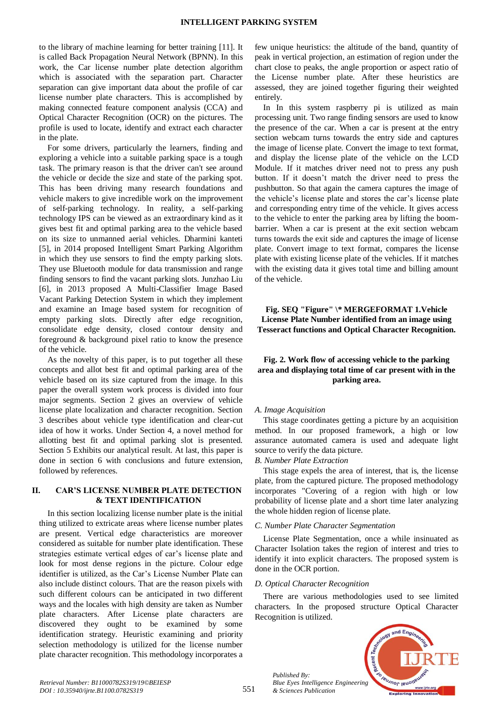to the library of machine learning for better training [11]. It is called Back Propagation Neural Network (BPNN). In this work, the Car license number plate detection algorithm which is associated with the separation part. Character separation can give important data about the profile of car license number plate characters. This is accomplished by making connected feature component analysis (CCA) and Optical Character Recognition (OCR) on the pictures. The profile is used to locate, identify and extract each character in the plate.

For some drivers, particularly the learners, finding and exploring a vehicle into a suitable parking space is a tough task. The primary reason is that the driver can't see around the vehicle or decide the size and state of the parking spot. This has been driving many research foundations and vehicle makers to give incredible work on the improvement of self-parking technology. In reality, a self-parking technology IPS can be viewed as an extraordinary kind as it gives best fit and optimal parking area to the vehicle based on its size to unmanned aerial vehicles. Dharmini kanteti [5], in 2014 proposed Intelligent Smart Parking Algorithm in which they use sensors to find the empty parking slots. They use Bluetooth module for data transmission and range finding sensors to find the vacant parking slots. Junzhao Liu [6], in 2013 proposed A Multi-Classifier Image Based Vacant Parking Detection System in which they implement and examine an Image based system for recognition of empty parking slots. Directly after edge recognition, consolidate edge density, closed contour density and foreground & background pixel ratio to know the presence of the vehicle.

As the novelty of this paper, is to put together all these concepts and allot best fit and optimal parking area of the vehicle based on its size captured from the image. In this paper the overall system work process is divided into four major segments. Section 2 gives an overview of vehicle license plate localization and character recognition. Section 3 describes about vehicle type identification and clear-cut idea of how it works. Under Section 4, a novel method for allotting best fit and optimal parking slot is presented. Section 5 Exhibits our analytical result. At last, this paper is done in section 6 with conclusions and future extension, followed by references.

# **II. CAR'S LICENSE NUMBER PLATE DETECTION & TEXT IDENTIFICATION**

In this section localizing license number plate is the initial thing utilized to extricate areas where license number plates are present. Vertical edge characteristics are moreover considered as suitable for number plate identification. These strategies estimate vertical edges of car's license plate and look for most dense regions in the picture. Colour edge identifier is utilized, as the Car's License Number Plate can also include distinct colours. That are the reason pixels with such different colours can be anticipated in two different ways and the locales with high density are taken as Number plate characters. After License plate characters are discovered they ought to be examined by some identification strategy. Heuristic examining and priority selection methodology is utilized for the license number plate character recognition. This methodology incorporates a

few unique heuristics: the altitude of the band, quantity of peak in vertical projection, an estimation of region under the chart close to peaks, the angle proportion or aspect ratio of the License number plate. After these heuristics are assessed, they are joined together figuring their weighted entirely.

In In this system raspberry pi is utilized as main processing unit. Two range finding sensors are used to know the presence of the car. When a car is present at the entry section webcam turns towards the entry side and captures the image of license plate. Convert the image to text format, and display the license plate of the vehicle on the LCD Module. If it matches driver need not to press any push button. If it doesn't match the driver need to press the pushbutton. So that again the camera captures the image of the vehicle's license plate and stores the car's license plate and corresponding entry time of the vehicle. It gives access to the vehicle to enter the parking area by lifting the boombarrier. When a car is present at the exit section webcam turns towards the exit side and captures the image of license plate. Convert image to text format, compares the license plate with existing license plate of the vehicles. If it matches with the existing data it gives total time and billing amount of the vehicle.

**Fig. SEQ "Figure" \\* MERGEFORMAT 1.Vehicle License Plate Number identified from an image using Tesseract functions and Optical Character Recognition.**

# **Fig. 2. Work flow of accessing vehicle to the parking area and displaying total time of car present with in the parking area.**

# *A. Image Acquisition*

This stage coordinates getting a picture by an acquisition method. In our proposed framework, a high or low assurance automated camera is used and adequate light source to verify the data picture.

### *B. Number Plate Extraction*

This stage expels the area of interest, that is, the license plate, from the captured picture. The proposed methodology incorporates "Covering of a region with high or low probability of license plate and a short time later analyzing the whole hidden region of license plate.

#### *C. Number Plate Character Segmentation*

License Plate Segmentation, once a while insinuated as Character Isolation takes the region of interest and tries to identify it into explicit characters. The proposed system is done in the OCR portion.

#### *D. Optical Character Recognition*

*Published By:*

*& Sciences Publication* 

There are various methodologies used to see limited characters. In the proposed structure Optical Character Recognition is utilized.

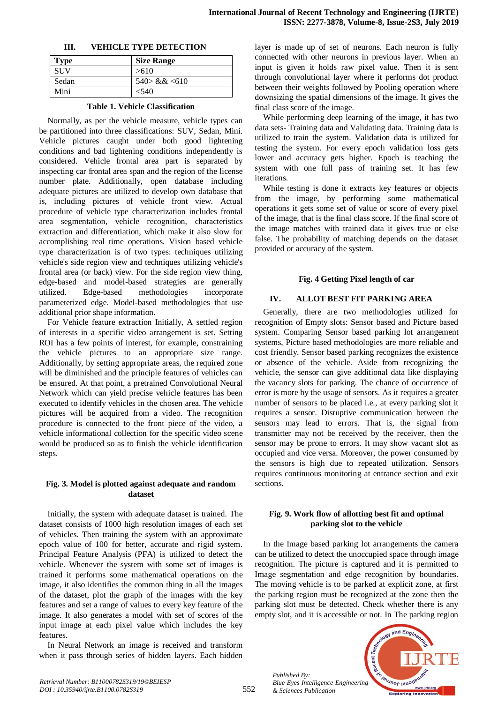#### **III. VEHICLE TYPE DETECTION**

| <b>Type</b> | <b>Size Range</b> |
|-------------|-------------------|
| <b>SUV</b>  | >610              |
| Sedan       | $540 > \&\< 610$  |
| Mini        | <540              |

#### **Table 1. Vehicle Classification**

Normally, as per the vehicle measure, vehicle types can be partitioned into three classifications: SUV, Sedan, Mini. Vehicle pictures caught under both good lightening conditions and bad lightening conditions independently is considered. Vehicle frontal area part is separated by inspecting car frontal area span and the region of the license number plate. Additionally, open database including adequate pictures are utilized to develop own database that is, including pictures of vehicle front view. Actual procedure of vehicle type characterization includes frontal area segmentation, vehicle recognition, characteristics extraction and differentiation, which make it also slow for accomplishing real time operations. Vision based vehicle type characterization is of two types: techniques utilizing vehicle's side region view and techniques utilizing vehicle's frontal area (or back) view. For the side region view thing, edge-based and model-based strategies are generally utilized. Edge-based methodologies incorporate parameterized edge. Model-based methodologies that use additional prior shape information.

For Vehicle feature extraction Initially, A settled region of interests in a specific video arrangement is set. Setting ROI has a few points of interest, for example, constraining the vehicle pictures to an appropriate size range. Additionally, by setting appropriate areas, the required zone will be diminished and the principle features of vehicles can be ensured. At that point, a pretrained Convolutional Neural Network which can yield precise vehicle features has been executed to identify vehicles in the chosen area. The vehicle pictures will be acquired from a video. The recognition procedure is connected to the front piece of the video, a vehicle informational collection for the specific video scene would be produced so as to finish the vehicle identification steps.

## **Fig. 3. Model is plotted against adequate and random dataset**

Initially, the system with adequate dataset is trained. The dataset consists of 1000 high resolution images of each set of vehicles. Then training the system with an approximate epoch value of 100 for better, accurate and rigid system. Principal Feature Analysis (PFA) is utilized to detect the vehicle. Whenever the system with some set of images is trained it performs some mathematical operations on the image, it also identifies the common thing in all the images of the dataset, plot the graph of the images with the key features and set a range of values to every key feature of the image. It also generates a model with set of scores of the input image at each pixel value which includes the key features.

In Neural Network an image is received and transform when it pass through series of hidden layers. Each hidden layer is made up of set of neurons. Each neuron is fully connected with other neurons in previous layer. When an input is given it holds raw pixel value. Then it is sent through convolutional layer where it performs dot product between their weights followed by Pooling operation where downsizing the spatial dimensions of the image. It gives the final class score of the image.

While performing deep learning of the image, it has two data sets- Training data and Validating data. Training data is utilized to train the system. Validation data is utilized for testing the system. For every epoch validation loss gets lower and accuracy gets higher. Epoch is teaching the system with one full pass of training set. It has few iterations.

While testing is done it extracts key features or objects from the image, by performing some mathematical operations it gets some set of value or score of every pixel of the image, that is the final class score. If the final score of the image matches with trained data it gives true or else false. The probability of matching depends on the dataset provided or accuracy of the system.

## **Fig. 4 Getting Pixel length of car**

# **IV. ALLOT BEST FIT PARKING AREA**

Generally, there are two methodologies utilized for recognition of Empty slots: Sensor based and Picture based system. Comparing Sensor based parking lot arrangement systems, Picture based methodologies are more reliable and cost friendly. Sensor based parking recognizes the existence or absence of the vehicle. Aside from recognizing the vehicle, the sensor can give additional data like displaying the vacancy slots for parking. The chance of occurrence of error is more by the usage of sensors. As it requires a greater number of sensors to be placed i.e., at every parking slot it requires a sensor. Disruptive communication between the sensors may lead to errors. That is, the signal from transmitter may not be received by the receiver, then the sensor may be prone to errors. It may show vacant slot as occupied and vice versa. Moreover, the power consumed by the sensors is high due to repeated utilization. Sensors requires continuous monitoring at entrance section and exit sections.

## **Fig. 9. Work flow of allotting best fit and optimal parking slot to the vehicle**

In the Image based parking lot arrangements the camera can be utilized to detect the unoccupied space through image recognition. The picture is captured and it is permitted to Image segmentation and edge recognition by boundaries. The moving vehicle is to be parked at explicit zone, at first the parking region must be recognized at the zone then the parking slot must be detected. Check whether there is any empty slot, and it is accessible or not. In The parking region



*Published By: Blue Eyes Intelligence Engineering & Sciences Publication*